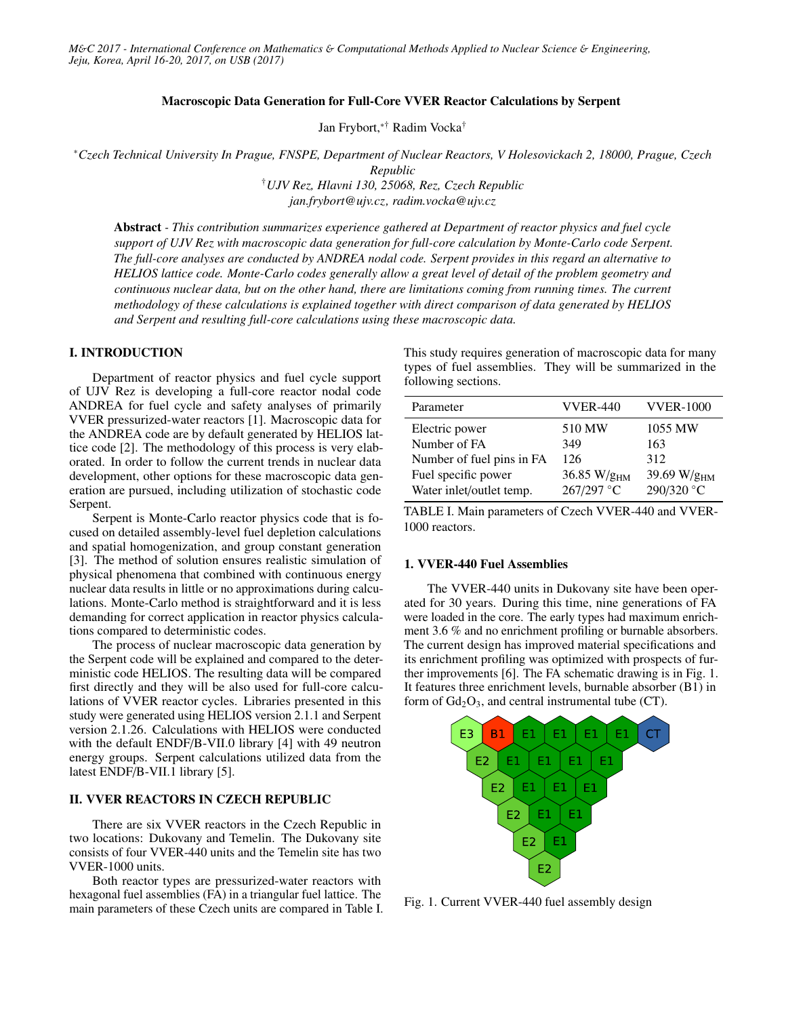### Macroscopic Data Generation for Full-Core VVER Reactor Calculations by Serpent

Jan Frybort,∗† Radim Vocka†

<sup>∗</sup>*Czech Technical University In Prague, FNSPE, Department of Nuclear Reactors, V Holesovickach 2, 18000, Prague, Czech Republic*

> †*UJV Rez, Hlavni 130, 25068, Rez, Czech Republic jan.frybort@ujv.cz, radim.vocka@ujv.cz*

Abstract *- This contribution summarizes experience gathered at Department of reactor physics and fuel cycle support of UJV Rez with macroscopic data generation for full-core calculation by Monte-Carlo code Serpent. The full-core analyses are conducted by ANDREA nodal code. Serpent provides in this regard an alternative to HELIOS lattice code. Monte-Carlo codes generally allow a great level of detail of the problem geometry and continuous nuclear data, but on the other hand, there are limitations coming from running times. The current methodology of these calculations is explained together with direct comparison of data generated by HELIOS and Serpent and resulting full-core calculations using these macroscopic data.*

# I. INTRODUCTION

Department of reactor physics and fuel cycle support of UJV Rez is developing a full-core reactor nodal code ANDREA for fuel cycle and safety analyses of primarily VVER pressurized-water reactors [1]. Macroscopic data for the ANDREA code are by default generated by HELIOS lattice code [2]. The methodology of this process is very elaborated. In order to follow the current trends in nuclear data development, other options for these macroscopic data generation are pursued, including utilization of stochastic code Serpent.

Serpent is Monte-Carlo reactor physics code that is focused on detailed assembly-level fuel depletion calculations and spatial homogenization, and group constant generation [3]. The method of solution ensures realistic simulation of physical phenomena that combined with continuous energy nuclear data results in little or no approximations during calculations. Monte-Carlo method is straightforward and it is less demanding for correct application in reactor physics calculations compared to deterministic codes.

The process of nuclear macroscopic data generation by the Serpent code will be explained and compared to the deterministic code HELIOS. The resulting data will be compared first directly and they will be also used for full-core calculations of VVER reactor cycles. Libraries presented in this study were generated using HELIOS version 2.1.1 and Serpent version 2.1.26. Calculations with HELIOS were conducted with the default ENDF/B-VII.0 library [4] with 49 neutron energy groups. Serpent calculations utilized data from the latest ENDF/B-VII.1 library [5].

# II. VVER REACTORS IN CZECH REPUBLIC

There are six VVER reactors in the Czech Republic in two locations: Dukovany and Temelin. The Dukovany site consists of four VVER-440 units and the Temelin site has two VVER-1000 units.

Both reactor types are pressurized-water reactors with hexagonal fuel assemblies (FA) in a triangular fuel lattice. The main parameters of these Czech units are compared in Table I. This study requires generation of macroscopic data for many types of fuel assemblies. They will be summarized in the following sections.

| Parameter                 | <b>VVER-440</b>   | <b>VVER-1000</b>        |
|---------------------------|-------------------|-------------------------|
| Electric power            | 510 MW            | 1055 MW                 |
| Number of FA              | 349               | 163                     |
| Number of fuel pins in FA | 126               | 312                     |
| Fuel specific power       | 36.85 W/ $g_{HM}$ | 39.69 W/g <sub>HM</sub> |
| Water inlet/outlet temp.  | 267/297 °C        | 290/320 °C              |

TABLE I. Main parameters of Czech VVER-440 and VVER-1000 reactors.

# 1. VVER-440 Fuel Assemblies

The VVER-440 units in Dukovany site have been operated for 30 years. During this time, nine generations of FA were loaded in the core. The early types had maximum enrichment 3.6 % and no enrichment profiling or burnable absorbers. The current design has improved material specifications and its enrichment profiling was optimized with prospects of further improvements [6]. The FA schematic drawing is in Fig. 1. It features three enrichment levels, burnable absorber (B1) in form of  $Gd_2O_3$ , and central instrumental tube (CT).



Fig. 1. Current VVER-440 fuel assembly design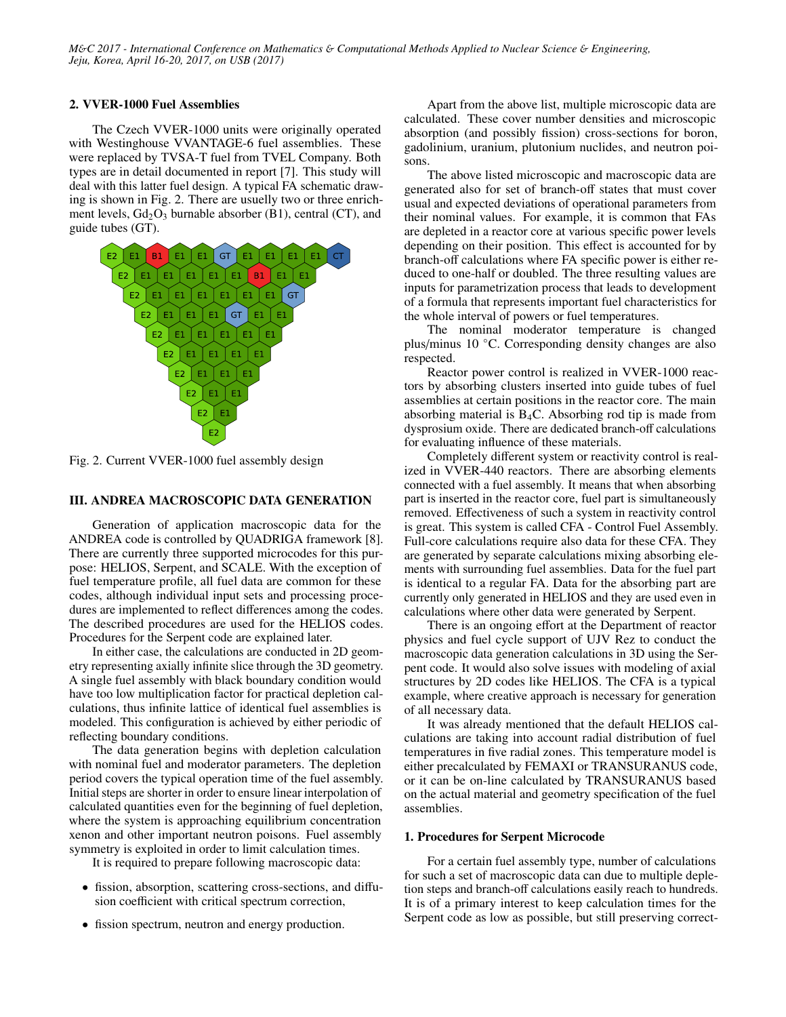### 2. VVER-1000 Fuel Assemblies

The Czech VVER-1000 units were originally operated with Westinghouse VVANTAGE-6 fuel assemblies. These were replaced by TVSA-T fuel from TVEL Company. Both types are in detail documented in report [7]. This study will deal with this latter fuel design. A typical FA schematic drawing is shown in Fig. 2. There are usuelly two or three enrichment levels,  $Gd_2O_3$  burnable absorber (B1), central (CT), and guide tubes (GT).



Fig. 2. Current VVER-1000 fuel assembly design

# III. ANDREA MACROSCOPIC DATA GENERATION

Generation of application macroscopic data for the ANDREA code is controlled by QUADRIGA framework [8]. There are currently three supported microcodes for this purpose: HELIOS, Serpent, and SCALE. With the exception of fuel temperature profile, all fuel data are common for these codes, although individual input sets and processing procedures are implemented to reflect differences among the codes. The described procedures are used for the HELIOS codes. Procedures for the Serpent code are explained later.

In either case, the calculations are conducted in 2D geometry representing axially infinite slice through the 3D geometry. A single fuel assembly with black boundary condition would have too low multiplication factor for practical depletion calculations, thus infinite lattice of identical fuel assemblies is modeled. This configuration is achieved by either periodic of reflecting boundary conditions.

The data generation begins with depletion calculation with nominal fuel and moderator parameters. The depletion period covers the typical operation time of the fuel assembly. Initial steps are shorter in order to ensure linear interpolation of calculated quantities even for the beginning of fuel depletion, where the system is approaching equilibrium concentration xenon and other important neutron poisons. Fuel assembly symmetry is exploited in order to limit calculation times.

It is required to prepare following macroscopic data:

- fission, absorption, scattering cross-sections, and diffusion coefficient with critical spectrum correction,
- fission spectrum, neutron and energy production.

Apart from the above list, multiple microscopic data are calculated. These cover number densities and microscopic absorption (and possibly fission) cross-sections for boron, gadolinium, uranium, plutonium nuclides, and neutron poisons.

The above listed microscopic and macroscopic data are generated also for set of branch-off states that must cover usual and expected deviations of operational parameters from their nominal values. For example, it is common that FAs are depleted in a reactor core at various specific power levels depending on their position. This effect is accounted for by branch-off calculations where FA specific power is either reduced to one-half or doubled. The three resulting values are inputs for parametrization process that leads to development of a formula that represents important fuel characteristics for the whole interval of powers or fuel temperatures.

The nominal moderator temperature is changed plus/minus 10 ◦C. Corresponding density changes are also respected.

Reactor power control is realized in VVER-1000 reactors by absorbing clusters inserted into guide tubes of fuel assemblies at certain positions in the reactor core. The main absorbing material is  $B_4C$ . Absorbing rod tip is made from dysprosium oxide. There are dedicated branch-off calculations for evaluating influence of these materials.

Completely different system or reactivity control is realized in VVER-440 reactors. There are absorbing elements connected with a fuel assembly. It means that when absorbing part is inserted in the reactor core, fuel part is simultaneously removed. Effectiveness of such a system in reactivity control is great. This system is called CFA - Control Fuel Assembly. Full-core calculations require also data for these CFA. They are generated by separate calculations mixing absorbing elements with surrounding fuel assemblies. Data for the fuel part is identical to a regular FA. Data for the absorbing part are currently only generated in HELIOS and they are used even in calculations where other data were generated by Serpent.

There is an ongoing effort at the Department of reactor physics and fuel cycle support of UJV Rez to conduct the macroscopic data generation calculations in 3D using the Serpent code. It would also solve issues with modeling of axial structures by 2D codes like HELIOS. The CFA is a typical example, where creative approach is necessary for generation of all necessary data.

It was already mentioned that the default HELIOS calculations are taking into account radial distribution of fuel temperatures in five radial zones. This temperature model is either precalculated by FEMAXI or TRANSURANUS code, or it can be on-line calculated by TRANSURANUS based on the actual material and geometry specification of the fuel assemblies.

#### 1. Procedures for Serpent Microcode

For a certain fuel assembly type, number of calculations for such a set of macroscopic data can due to multiple depletion steps and branch-off calculations easily reach to hundreds. It is of a primary interest to keep calculation times for the Serpent code as low as possible, but still preserving correct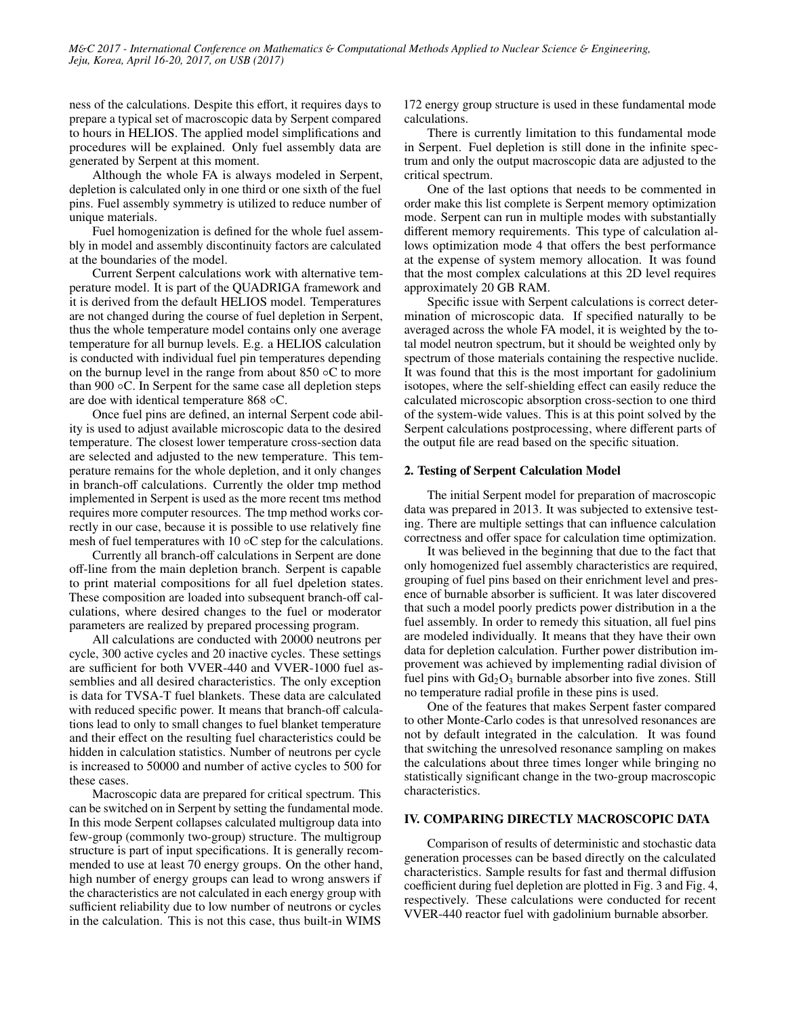ness of the calculations. Despite this effort, it requires days to prepare a typical set of macroscopic data by Serpent compared to hours in HELIOS. The applied model simplifications and procedures will be explained. Only fuel assembly data are generated by Serpent at this moment.

Although the whole FA is always modeled in Serpent, depletion is calculated only in one third or one sixth of the fuel pins. Fuel assembly symmetry is utilized to reduce number of unique materials.

Fuel homogenization is defined for the whole fuel assembly in model and assembly discontinuity factors are calculated at the boundaries of the model.

Current Serpent calculations work with alternative temperature model. It is part of the QUADRIGA framework and it is derived from the default HELIOS model. Temperatures are not changed during the course of fuel depletion in Serpent, thus the whole temperature model contains only one average temperature for all burnup levels. E.g. a HELIOS calculation is conducted with individual fuel pin temperatures depending on the burnup level in the range from about  $850 \circ C$  to more than 900  $\circ$ C. In Serpent for the same case all depletion steps are doe with identical temperature 868 ◦C.

Once fuel pins are defined, an internal Serpent code ability is used to adjust available microscopic data to the desired temperature. The closest lower temperature cross-section data are selected and adjusted to the new temperature. This temperature remains for the whole depletion, and it only changes in branch-off calculations. Currently the older tmp method implemented in Serpent is used as the more recent tms method requires more computer resources. The tmp method works correctly in our case, because it is possible to use relatively fine mesh of fuel temperatures with 10  $\circ$ C step for the calculations.

Currently all branch-off calculations in Serpent are done off-line from the main depletion branch. Serpent is capable to print material compositions for all fuel dpeletion states. These composition are loaded into subsequent branch-off calculations, where desired changes to the fuel or moderator parameters are realized by prepared processing program.

All calculations are conducted with 20000 neutrons per cycle, 300 active cycles and 20 inactive cycles. These settings are sufficient for both VVER-440 and VVER-1000 fuel assemblies and all desired characteristics. The only exception is data for TVSA-T fuel blankets. These data are calculated with reduced specific power. It means that branch-off calculations lead to only to small changes to fuel blanket temperature and their effect on the resulting fuel characteristics could be hidden in calculation statistics. Number of neutrons per cycle is increased to 50000 and number of active cycles to 500 for these cases.

Macroscopic data are prepared for critical spectrum. This can be switched on in Serpent by setting the fundamental mode. In this mode Serpent collapses calculated multigroup data into few-group (commonly two-group) structure. The multigroup structure is part of input specifications. It is generally recommended to use at least 70 energy groups. On the other hand, high number of energy groups can lead to wrong answers if the characteristics are not calculated in each energy group with sufficient reliability due to low number of neutrons or cycles in the calculation. This is not this case, thus built-in WIMS

172 energy group structure is used in these fundamental mode calculations.

There is currently limitation to this fundamental mode in Serpent. Fuel depletion is still done in the infinite spectrum and only the output macroscopic data are adjusted to the critical spectrum.

One of the last options that needs to be commented in order make this list complete is Serpent memory optimization mode. Serpent can run in multiple modes with substantially different memory requirements. This type of calculation allows optimization mode 4 that offers the best performance at the expense of system memory allocation. It was found that the most complex calculations at this 2D level requires approximately 20 GB RAM.

Specific issue with Serpent calculations is correct determination of microscopic data. If specified naturally to be averaged across the whole FA model, it is weighted by the total model neutron spectrum, but it should be weighted only by spectrum of those materials containing the respective nuclide. It was found that this is the most important for gadolinium isotopes, where the self-shielding effect can easily reduce the calculated microscopic absorption cross-section to one third of the system-wide values. This is at this point solved by the Serpent calculations postprocessing, where different parts of the output file are read based on the specific situation.

# 2. Testing of Serpent Calculation Model

The initial Serpent model for preparation of macroscopic data was prepared in 2013. It was subjected to extensive testing. There are multiple settings that can influence calculation correctness and offer space for calculation time optimization.

It was believed in the beginning that due to the fact that only homogenized fuel assembly characteristics are required, grouping of fuel pins based on their enrichment level and presence of burnable absorber is sufficient. It was later discovered that such a model poorly predicts power distribution in a the fuel assembly. In order to remedy this situation, all fuel pins are modeled individually. It means that they have their own data for depletion calculation. Further power distribution improvement was achieved by implementing radial division of fuel pins with  $Gd_2O_3$  burnable absorber into five zones. Still no temperature radial profile in these pins is used.

One of the features that makes Serpent faster compared to other Monte-Carlo codes is that unresolved resonances are not by default integrated in the calculation. It was found that switching the unresolved resonance sampling on makes the calculations about three times longer while bringing no statistically significant change in the two-group macroscopic characteristics.

# IV. COMPARING DIRECTLY MACROSCOPIC DATA

Comparison of results of deterministic and stochastic data generation processes can be based directly on the calculated characteristics. Sample results for fast and thermal diffusion coefficient during fuel depletion are plotted in Fig. 3 and Fig. 4, respectively. These calculations were conducted for recent VVER-440 reactor fuel with gadolinium burnable absorber.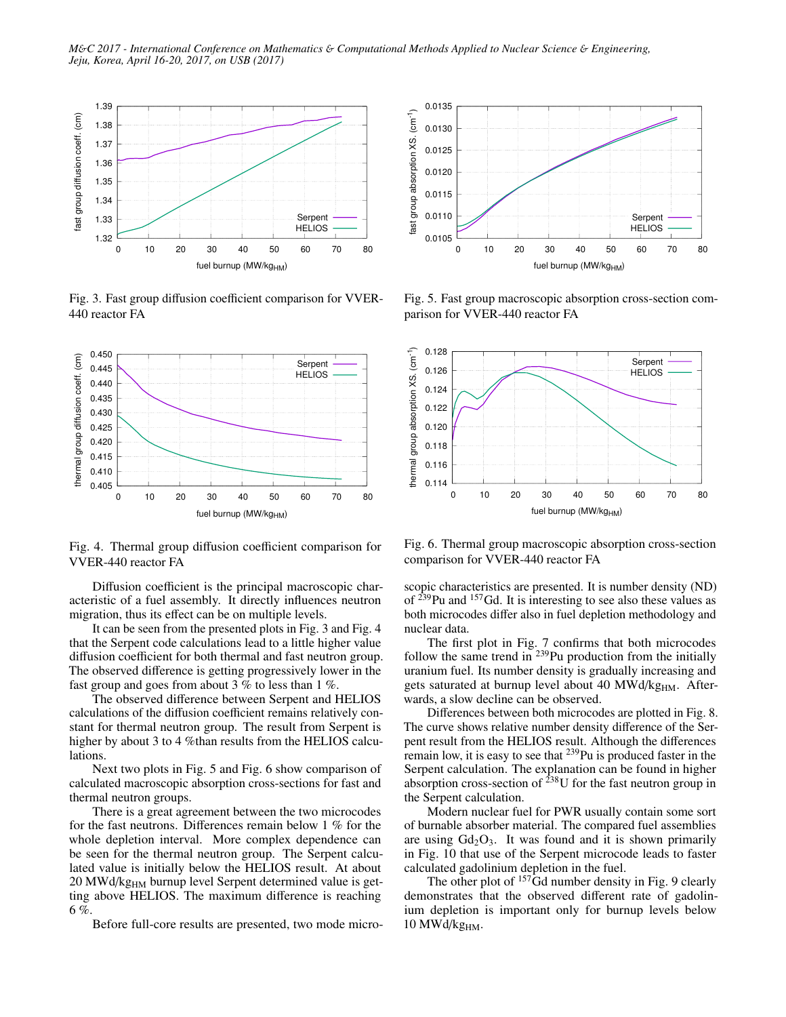

Fig. 3. Fast group diffusion coefficient comparison for VVER-440 reactor FA



Fig. 4. Thermal group diffusion coefficient comparison for VVER-440 reactor FA

Diffusion coefficient is the principal macroscopic characteristic of a fuel assembly. It directly influences neutron migration, thus its effect can be on multiple levels.

It can be seen from the presented plots in Fig. 3 and Fig. 4 that the Serpent code calculations lead to a little higher value diffusion coefficient for both thermal and fast neutron group. The observed difference is getting progressively lower in the fast group and goes from about 3 % to less than 1 %.

The observed difference between Serpent and HELIOS calculations of the diffusion coefficient remains relatively constant for thermal neutron group. The result from Serpent is higher by about 3 to 4 %than results from the HELIOS calculations.

Next two plots in Fig. 5 and Fig. 6 show comparison of calculated macroscopic absorption cross-sections for fast and thermal neutron groups.

There is a great agreement between the two microcodes for the fast neutrons. Differences remain below 1 % for the whole depletion interval. More complex dependence can be seen for the thermal neutron group. The Serpent calculated value is initially below the HELIOS result. At about 20 MWd/kg<sub>HM</sub> burnup level Serpent determined value is getting above HELIOS. The maximum difference is reaching 6 %.

Before full-core results are presented, two mode micro-



Fig. 5. Fast group macroscopic absorption cross-section comparison for VVER-440 reactor FA



Fig. 6. Thermal group macroscopic absorption cross-section comparison for VVER-440 reactor FA

scopic characteristics are presented. It is number density (ND) of  $^{239}$ Pu and  $^{157}$ Gd. It is interesting to see also these values as both microcodes differ also in fuel depletion methodology and nuclear data.

The first plot in Fig. 7 confirms that both microcodes follow the same trend in  $^{239}$ Pu production from the initially uranium fuel. Its number density is gradually increasing and gets saturated at burnup level about 40 MWd/kg<sub>HM</sub>. Afterwards, a slow decline can be observed.

Differences between both microcodes are plotted in Fig. 8. The curve shows relative number density difference of the Serpent result from the HELIOS result. Although the differences remain low, it is easy to see that <sup>239</sup>Pu is produced faster in the Serpent calculation. The explanation can be found in higher absorption cross-section of  $238$ U for the fast neutron group in the Serpent calculation.

Modern nuclear fuel for PWR usually contain some sort of burnable absorber material. The compared fuel assemblies are using  $Gd_2O_3$ . It was found and it is shown primarily in Fig. 10 that use of the Serpent microcode leads to faster calculated gadolinium depletion in the fuel.

The other plot of <sup>157</sup>Gd number density in Fig. 9 clearly demonstrates that the observed different rate of gadolinium depletion is important only for burnup levels below 10  $MWd/kg<sub>HM</sub>$ .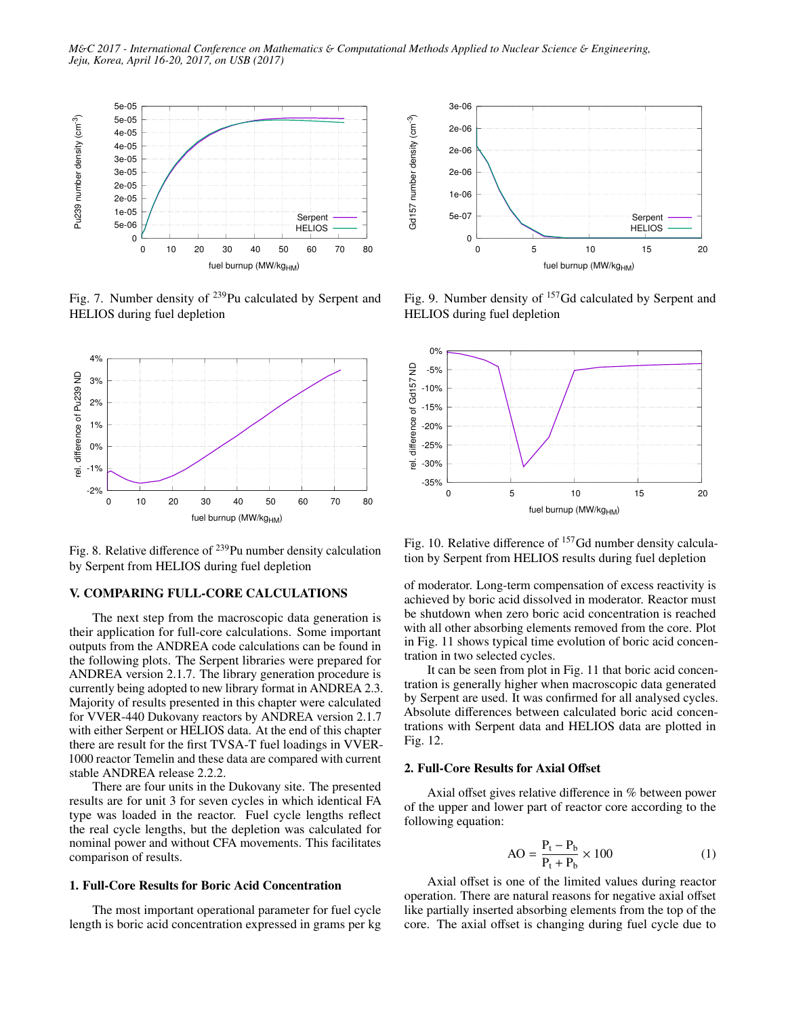

Fig. 7. Number density of <sup>239</sup>Pu calculated by Serpent and HELIOS during fuel depletion



Fig. 8. Relative difference of <sup>239</sup>Pu number density calculation by Serpent from HELIOS during fuel depletion

# V. COMPARING FULL-CORE CALCULATIONS

The next step from the macroscopic data generation is their application for full-core calculations. Some important outputs from the ANDREA code calculations can be found in the following plots. The Serpent libraries were prepared for ANDREA version 2.1.7. The library generation procedure is currently being adopted to new library format in ANDREA 2.3. Majority of results presented in this chapter were calculated for VVER-440 Dukovany reactors by ANDREA version 2.1.7 with either Serpent or HELIOS data. At the end of this chapter there are result for the first TVSA-T fuel loadings in VVER-1000 reactor Temelin and these data are compared with current stable ANDREA release 2.2.2.

There are four units in the Dukovany site. The presented results are for unit 3 for seven cycles in which identical FA type was loaded in the reactor. Fuel cycle lengths reflect the real cycle lengths, but the depletion was calculated for nominal power and without CFA movements. This facilitates comparison of results.

#### 1. Full-Core Results for Boric Acid Concentration

The most important operational parameter for fuel cycle length is boric acid concentration expressed in grams per kg



Fig. 9. Number density of  $157$  Gd calculated by Serpent and HELIOS during fuel depletion



Fig. 10. Relative difference of <sup>157</sup>Gd number density calculation by Serpent from HELIOS results during fuel depletion

of moderator. Long-term compensation of excess reactivity is achieved by boric acid dissolved in moderator. Reactor must be shutdown when zero boric acid concentration is reached with all other absorbing elements removed from the core. Plot in Fig. 11 shows typical time evolution of boric acid concentration in two selected cycles.

It can be seen from plot in Fig. 11 that boric acid concentration is generally higher when macroscopic data generated by Serpent are used. It was confirmed for all analysed cycles. Absolute differences between calculated boric acid concentrations with Serpent data and HELIOS data are plotted in Fig. 12.

### 2. Full-Core Results for Axial Offset

Axial offset gives relative difference in % between power of the upper and lower part of reactor core according to the following equation:

$$
AO = \frac{P_t - P_b}{P_t + P_b} \times 100
$$
 (1)

Axial offset is one of the limited values during reactor operation. There are natural reasons for negative axial offset like partially inserted absorbing elements from the top of the core. The axial offset is changing during fuel cycle due to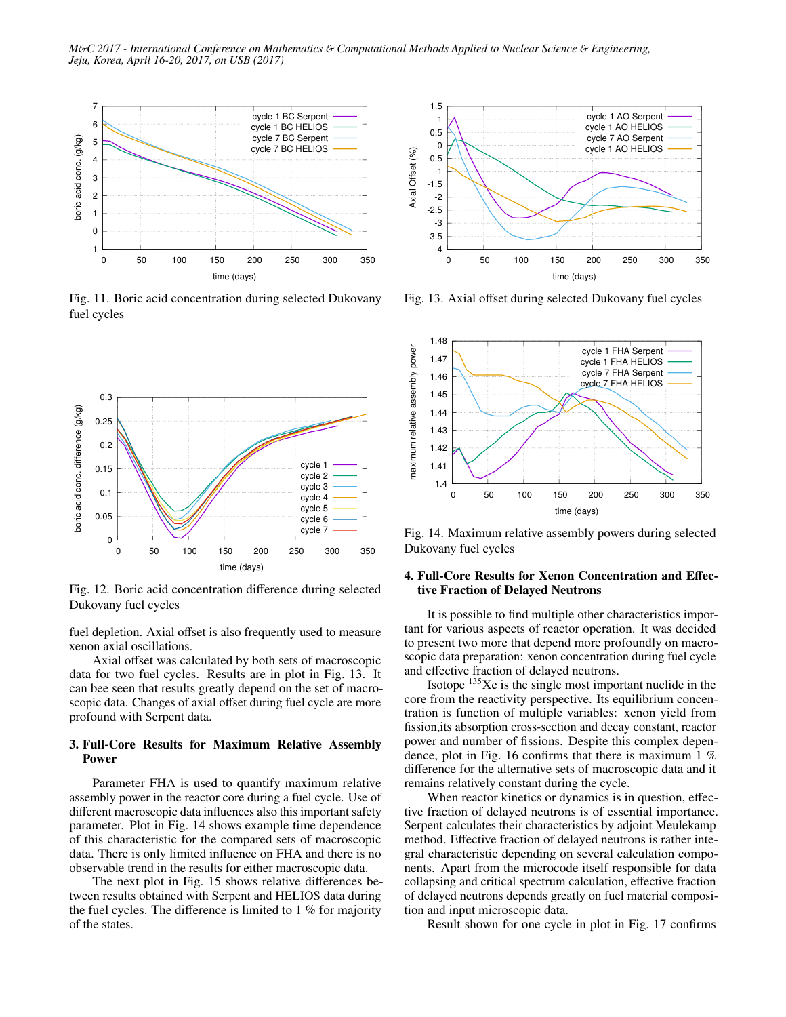*M*&*C 2017 - International Conference on Mathematics* & *Computational Methods Applied to Nuclear Science* & *Engineering, Jeju, Korea, April 16-20, 2017, on USB (2017)*



Fig. 11. Boric acid concentration during selected Dukovany fuel cycles



Fig. 12. Boric acid concentration difference during selected Dukovany fuel cycles

fuel depletion. Axial offset is also frequently used to measure xenon axial oscillations.

Axial offset was calculated by both sets of macroscopic data for two fuel cycles. Results are in plot in Fig. 13. It can bee seen that results greatly depend on the set of macroscopic data. Changes of axial offset during fuel cycle are more profound with Serpent data.

### 3. Full-Core Results for Maximum Relative Assembly Power

Parameter FHA is used to quantify maximum relative assembly power in the reactor core during a fuel cycle. Use of different macroscopic data influences also this important safety parameter. Plot in Fig. 14 shows example time dependence of this characteristic for the compared sets of macroscopic data. There is only limited influence on FHA and there is no observable trend in the results for either macroscopic data.

The next plot in Fig. 15 shows relative differences between results obtained with Serpent and HELIOS data during the fuel cycles. The difference is limited to 1 % for majority of the states.



Fig. 13. Axial offset during selected Dukovany fuel cycles



Fig. 14. Maximum relative assembly powers during selected Dukovany fuel cycles

### 4. Full-Core Results for Xenon Concentration and Effective Fraction of Delayed Neutrons

It is possible to find multiple other characteristics important for various aspects of reactor operation. It was decided to present two more that depend more profoundly on macroscopic data preparation: xenon concentration during fuel cycle and effective fraction of delayed neutrons.

Isotope  $135Xe$  is the single most important nuclide in the core from the reactivity perspective. Its equilibrium concentration is function of multiple variables: xenon yield from fission,its absorption cross-section and decay constant, reactor power and number of fissions. Despite this complex dependence, plot in Fig. 16 confirms that there is maximum 1 % difference for the alternative sets of macroscopic data and it remains relatively constant during the cycle.

When reactor kinetics or dynamics is in question, effective fraction of delayed neutrons is of essential importance. Serpent calculates their characteristics by adjoint Meulekamp method. Effective fraction of delayed neutrons is rather integral characteristic depending on several calculation components. Apart from the microcode itself responsible for data collapsing and critical spectrum calculation, effective fraction of delayed neutrons depends greatly on fuel material composition and input microscopic data.

Result shown for one cycle in plot in Fig. 17 confirms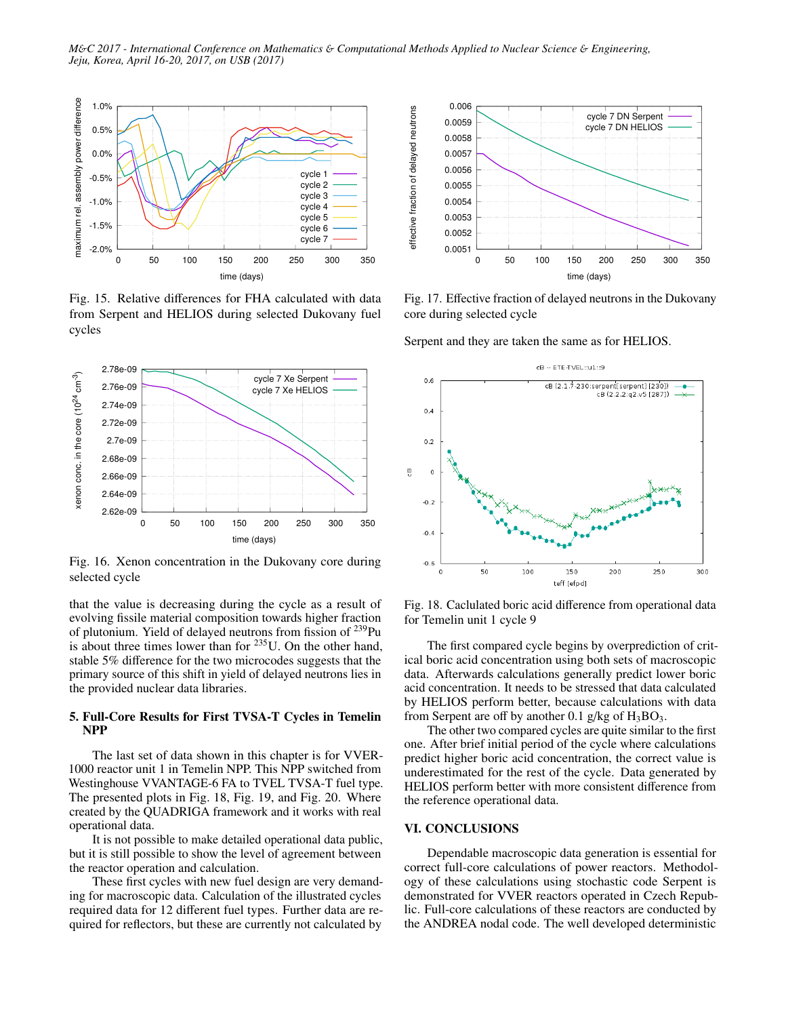

Fig. 15. Relative differences for FHA calculated with data from Serpent and HELIOS during selected Dukovany fuel cycles



Fig. 16. Xenon concentration in the Dukovany core during selected cycle

that the value is decreasing during the cycle as a result of evolving fissile material composition towards higher fraction of plutonium. Yield of delayed neutrons from fission of  $^{239}$ Pu is about three times lower than for  $235$ U. On the other hand, stable 5% difference for the two microcodes suggests that the primary source of this shift in yield of delayed neutrons lies in the provided nuclear data libraries.

## 5. Full-Core Results for First TVSA-T Cycles in Temelin NPP

The last set of data shown in this chapter is for VVER-1000 reactor unit 1 in Temelin NPP. This NPP switched from Westinghouse VVANTAGE-6 FA to TVEL TVSA-T fuel type. The presented plots in Fig. 18, Fig. 19, and Fig. 20. Where created by the QUADRIGA framework and it works with real operational data.

It is not possible to make detailed operational data public, but it is still possible to show the level of agreement between the reactor operation and calculation.

These first cycles with new fuel design are very demanding for macroscopic data. Calculation of the illustrated cycles required data for 12 different fuel types. Further data are required for reflectors, but these are currently not calculated by



Fig. 17. Effective fraction of delayed neutrons in the Dukovany core during selected cycle

Serpent and they are taken the same as for HELIOS.



Fig. 18. Caclulated boric acid difference from operational data for Temelin unit 1 cycle 9

The first compared cycle begins by overprediction of critical boric acid concentration using both sets of macroscopic data. Afterwards calculations generally predict lower boric acid concentration. It needs to be stressed that data calculated by HELIOS perform better, because calculations with data from Serpent are off by another 0.1 g/kg of  $H_3BO_3$ .

The other two compared cycles are quite similar to the first one. After brief initial period of the cycle where calculations predict higher boric acid concentration, the correct value is underestimated for the rest of the cycle. Data generated by HELIOS perform better with more consistent difference from the reference operational data.

#### VI. CONCLUSIONS

Dependable macroscopic data generation is essential for correct full-core calculations of power reactors. Methodology of these calculations using stochastic code Serpent is demonstrated for VVER reactors operated in Czech Republic. Full-core calculations of these reactors are conducted by the ANDREA nodal code. The well developed deterministic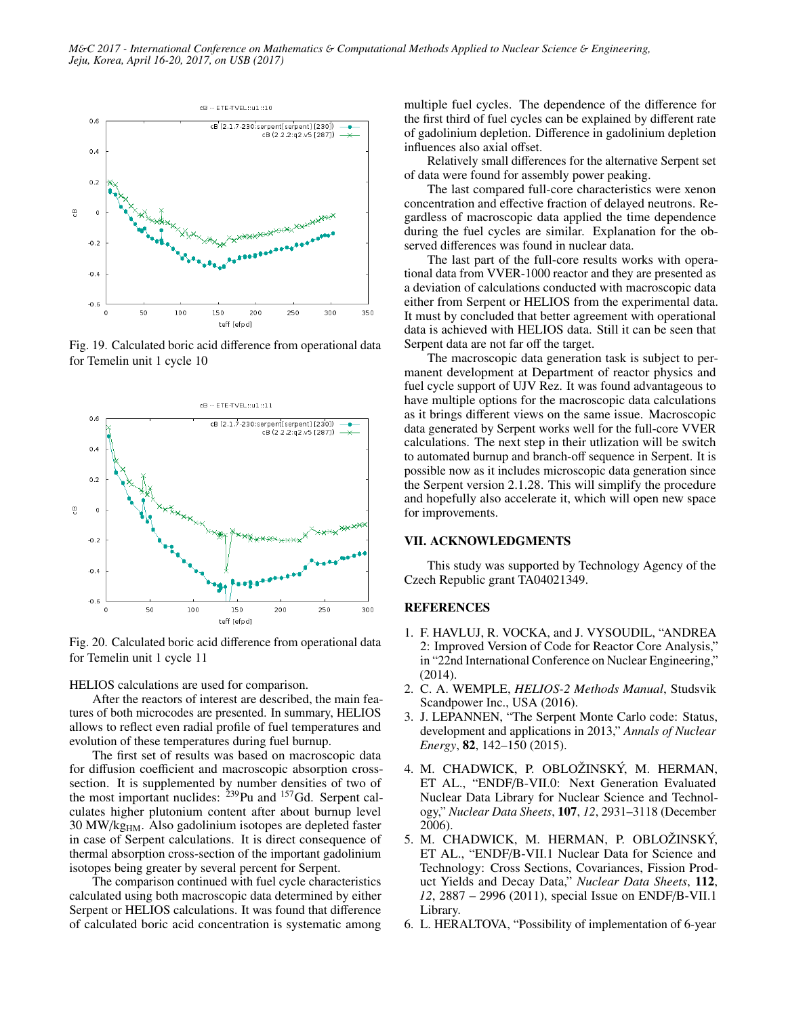

Fig. 19. Calculated boric acid difference from operational data for Temelin unit 1 cycle 10



Fig. 20. Calculated boric acid difference from operational data for Temelin unit 1 cycle 11

HELIOS calculations are used for comparison.

After the reactors of interest are described, the main features of both microcodes are presented. In summary, HELIOS allows to reflect even radial profile of fuel temperatures and evolution of these temperatures during fuel burnup.

The first set of results was based on macroscopic data for diffusion coefficient and macroscopic absorption crosssection. It is supplemented by number densities of two of the most important nuclides:  $^{239}$ Pu and  $^{157}$ Gd. Serpent calculates higher plutonium content after about burnup level 30 MW/kg<sub>HM</sub>. Also gadolinium isotopes are depleted faster in case of Serpent calculations. It is direct consequence of thermal absorption cross-section of the important gadolinium isotopes being greater by several percent for Serpent.

The comparison continued with fuel cycle characteristics calculated using both macroscopic data determined by either Serpent or HELIOS calculations. It was found that difference of calculated boric acid concentration is systematic among multiple fuel cycles. The dependence of the difference for the first third of fuel cycles can be explained by different rate of gadolinium depletion. Difference in gadolinium depletion influences also axial offset.

Relatively small differences for the alternative Serpent set of data were found for assembly power peaking.

The last compared full-core characteristics were xenon concentration and effective fraction of delayed neutrons. Regardless of macroscopic data applied the time dependence during the fuel cycles are similar. Explanation for the observed differences was found in nuclear data.

The last part of the full-core results works with operational data from VVER-1000 reactor and they are presented as a deviation of calculations conducted with macroscopic data either from Serpent or HELIOS from the experimental data. It must by concluded that better agreement with operational data is achieved with HELIOS data. Still it can be seen that Serpent data are not far off the target.

The macroscopic data generation task is subject to permanent development at Department of reactor physics and fuel cycle support of UJV Rez. It was found advantageous to have multiple options for the macroscopic data calculations as it brings different views on the same issue. Macroscopic data generated by Serpent works well for the full-core VVER calculations. The next step in their utlization will be switch to automated burnup and branch-off sequence in Serpent. It is possible now as it includes microscopic data generation since the Serpent version 2.1.28. This will simplify the procedure and hopefully also accelerate it, which will open new space for improvements.

### VII. ACKNOWLEDGMENTS

This study was supported by Technology Agency of the Czech Republic grant TA04021349.

### REFERENCES

- 1. F. HAVLUJ, R. VOCKA, and J. VYSOUDIL, "ANDREA 2: Improved Version of Code for Reactor Core Analysis," in "22nd International Conference on Nuclear Engineering," (2014).
- 2. C. A. WEMPLE, *HELIOS-2 Methods Manual*, Studsvik Scandpower Inc., USA (2016).
- 3. J. LEPANNEN, "The Serpent Monte Carlo code: Status, development and applications in 2013," *Annals of Nuclear Energy*, 82, 142–150 (2015).
- 4. M. CHADWICK, P. OBLOŽINSKÝ, M. HERMAN, ET AL., "ENDF/B-VII.0: Next Generation Evaluated Nuclear Data Library for Nuclear Science and Technology," *Nuclear Data Sheets*, 107, *12*, 2931–3118 (December 2006).
- 5. M. CHADWICK, M. HERMAN, P. OBLOŽINSKÝ, ET AL., "ENDF/B-VII.1 Nuclear Data for Science and Technology: Cross Sections, Covariances, Fission Product Yields and Decay Data," *Nuclear Data Sheets*, 112, *12*, 2887 – 2996 (2011), special Issue on ENDF/B-VII.1 Library.
- 6. L. HERALTOVA, "Possibility of implementation of 6-year